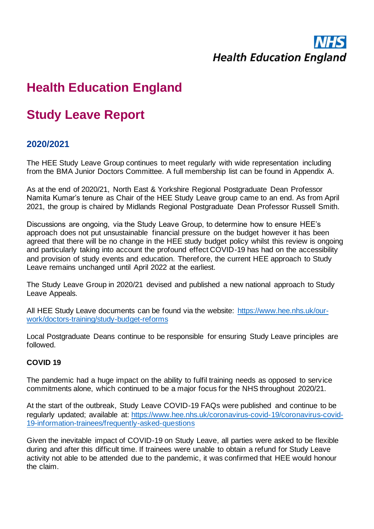# **Health Education England**

# **Health Education England**

## **Study Leave Report**

## **2020/2021**

The HEE Study Leave Group continues to meet regularly with wide representation including from the BMA Junior Doctors Committee. A full membership list can be found in Appendix A.

As at the end of 2020/21, North East & Yorkshire Regional Postgraduate Dean Professor Namita Kumar's tenure as Chair of the HEE Study Leave group came to an end. As from April 2021, the group is chaired by Midlands Regional Postgraduate Dean Professor Russell Smith.

Discussions are ongoing, via the Study Leave Group, to determine how to ensure HEE's approach does not put unsustainable financial pressure on the budget however it has been agreed that there will be no change in the HEE study budget policy whilst this review is ongoing and particularly taking into account the profound effect COVID-19 has had on the accessibility and provision of study events and education. Therefore, the current HEE approach to Study Leave remains unchanged until April 2022 at the earliest.

The Study Leave Group in 2020/21 devised and published a new national approach to Study Leave Appeals.

All HEE Study Leave documents can be found via the website: [https://www.hee.nhs.uk/our](https://www.hee.nhs.uk/our-work/doctors-training/study-budget-reforms)[work/doctors-training/study-budget-reforms](https://www.hee.nhs.uk/our-work/doctors-training/study-budget-reforms)

Local Postgraduate Deans continue to be responsible for ensuring Study Leave principles are followed.

#### **COVID 19**

The pandemic had a huge impact on the ability to fulfil training needs as opposed to service commitments alone, which continued to be a major focus for the NHS throughout 2020/21.

At the start of the outbreak, Study Leave COVID-19 FAQs were published and continue to be regularly updated; available at: [https://www.hee.nhs.uk/coronavirus-covid-19/coronavirus-covid-](https://www.hee.nhs.uk/coronavirus-covid-19/coronavirus-covid-19-information-trainees/frequently-asked-questions)[19-information-trainees/frequently-asked-questions](https://www.hee.nhs.uk/coronavirus-covid-19/coronavirus-covid-19-information-trainees/frequently-asked-questions)

Given the inevitable impact of COVID-19 on Study Leave, all parties were asked to be flexible during and after this difficult time. If trainees were unable to obtain a refund for Study Leave activity not able to be attended due to the pandemic, it was confirmed that HEE would honour the claim.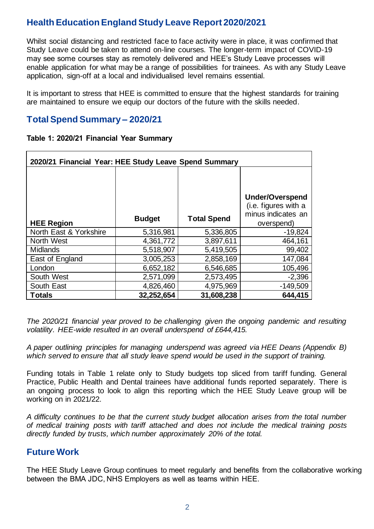Whilst social distancing and restricted face to face activity were in place, it was confirmed that Study Leave could be taken to attend on-line courses. The longer-term impact of COVID-19 may see some courses stay as remotely delivered and HEE's Study Leave processes will enable application for what may be a range of possibilities for trainees. As with any Study Leave application, sign-off at a local and individualised level remains essential.

It is important to stress that HEE is committed to ensure that the highest standards for training are maintained to ensure we equip our doctors of the future with the skills needed.

## **Total Spend Summary – 2020/21**

| Table 1: 2020/21 Financial Year Summary |  |  |  |
|-----------------------------------------|--|--|--|
|-----------------------------------------|--|--|--|

| 2020/21 Financial Year: HEE Study Leave Spend Summary |               |                    |                                                                                    |  |
|-------------------------------------------------------|---------------|--------------------|------------------------------------------------------------------------------------|--|
| <b>HEE Region</b>                                     | <b>Budget</b> | <b>Total Spend</b> | <b>Under/Overspend</b><br>(i.e. figures with a<br>minus indicates an<br>overspend) |  |
| North East & Yorkshire                                | 5,316,981     | 5,336,805          | $-19,824$                                                                          |  |
| North West                                            | 4,361,772     | 3,897,611          | 464,161                                                                            |  |
| <b>Midlands</b>                                       | 5,518,907     | 5,419,505          | 99,402                                                                             |  |
| East of England                                       | 3,005,253     | 2,858,169          | 147,084                                                                            |  |
| London                                                | 6,652,182     | 6,546,685          | 105,496                                                                            |  |
| South West                                            | 2,571,099     | 2,573,495          | $-2,396$                                                                           |  |
| South East                                            | 4,826,460     | 4,975,969          | $-149,509$                                                                         |  |
| <b>Totals</b>                                         | 32,252,654    | 31,608,238         | 644,415                                                                            |  |

*The 2020/21 financial year proved to be challenging given the ongoing pandemic and resulting volatility. HEE-wide resulted in an overall underspend of £644,415.* 

*A paper outlining principles for managing underspend was agreed via HEE Deans (Appendix B) which served to ensure that all study leave spend would be used in the support of training.* 

Funding totals in Table 1 relate only to Study budgets top sliced from tariff funding. General Practice, Public Health and Dental trainees have additional funds reported separately. There is an ongoing process to look to align this reporting which the HEE Study Leave group will be working on in 2021/22.

*A difficulty continues to be that the current study budget allocation arises from the total number of medical training posts with tariff attached and does not include the medical training posts directly funded by trusts, which number approximately 20% of the total.* 

## **Future Work**

The HEE Study Leave Group continues to meet regularly and benefits from the collaborative working between the BMA JDC, NHS Employers as well as teams within HEE.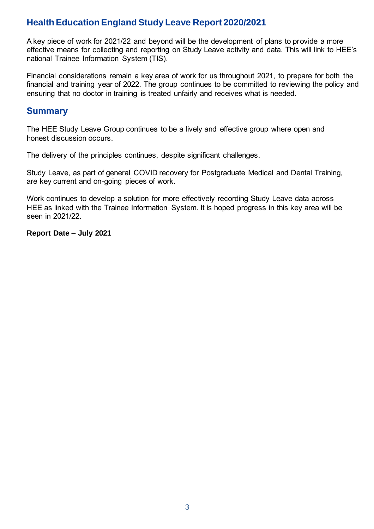A key piece of work for 2021/22 and beyond will be the development of plans to provide a more effective means for collecting and reporting on Study Leave activity and data. This will link to HEE's national Trainee Information System (TIS).

Financial considerations remain a key area of work for us throughout 2021, to prepare for both the financial and training year of 2022. The group continues to be committed to reviewing the policy and ensuring that no doctor in training is treated unfairly and receives what is needed.

#### **Summary**

The HEE Study Leave Group continues to be a lively and effective group where open and honest discussion occurs.

The delivery of the principles continues, despite significant challenges.

Study Leave, as part of general COVID recovery for Postgraduate Medical and Dental Training, are key current and on-going pieces of work.

Work continues to develop a solution for more effectively recording Study Leave data across HEE as linked with the Trainee Information System. It is hoped progress in this key area will be seen in 2021/22.

**Report Date – July 2021**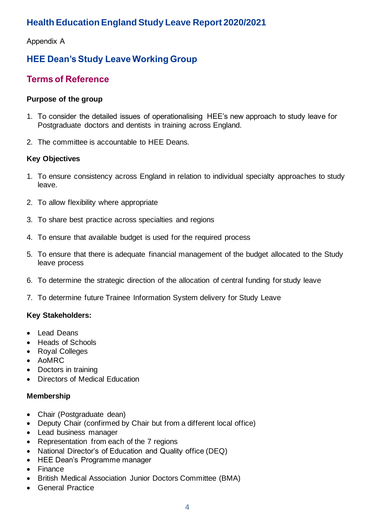Appendix A

## **HEE Dean's Study Leave Working Group**

## **Terms of Reference**

#### **Purpose of the group**

- 1. To consider the detailed issues of operationalising HEE's new approach to study leave for Postgraduate doctors and dentists in training across England.
- 2. The committee is accountable to HEE Deans.

#### **Key Objectives**

- 1. To ensure consistency across England in relation to individual specialty approaches to study leave.
- 2. To allow flexibility where appropriate
- 3. To share best practice across specialties and regions
- 4. To ensure that available budget is used for the required process
- 5. To ensure that there is adequate financial management of the budget allocated to the Study leave process
- 6. To determine the strategic direction of the allocation of central funding for study leave
- 7. To determine future Trainee Information System delivery for Study Leave

#### **Key Stakeholders:**

- Lead Deans
- Heads of Schools
- Royal Colleges
- AoMRC
- Doctors in training
- Directors of Medical Education

#### **Membership**

- Chair (Postgraduate dean)
- Deputy Chair (confirmed by Chair but from a different local office)
- Lead business manager
- Representation from each of the 7 regions
- National Director's of Education and Quality office (DEQ)
- HEE Dean's Programme manager
- Finance
- British Medical Association Junior Doctors Committee (BMA)
- General Practice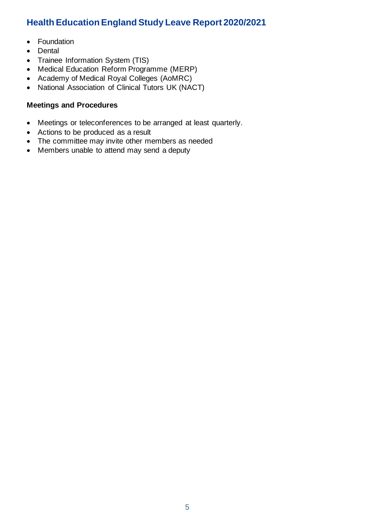- Foundation
- Dental
- Trainee Information System (TIS)
- Medical Education Reform Programme (MERP)
- Academy of Medical Royal Colleges (AoMRC)
- National Association of Clinical Tutors UK (NACT)

#### **Meetings and Procedures**

- Meetings or teleconferences to be arranged at least quarterly.
- Actions to be produced as a result
- The committee may invite other members as needed
- Members unable to attend may send a deputy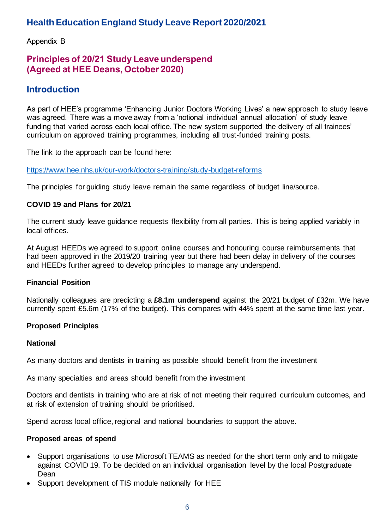Appendix B

## **Principles of 20/21 Study Leave underspend (Agreed at HEE Deans, October 2020)**

## **Introduction**

As part of HEE's programme 'Enhancing Junior Doctors Working Lives' a new approach to study leave was agreed. There was a move away from a 'notional individual annual allocation' of study leave funding that varied across each local office. The new system supported the delivery of all trainees' curriculum on approved training programmes, including all trust-funded training posts.

The link to the approach can be found here:

<https://www.hee.nhs.uk/our-work/doctors-training/study-budget-reforms>

The principles for guiding study leave remain the same regardless of budget line/source.

#### **COVID 19 and Plans for 20/21**

The current study leave guidance requests flexibility from all parties. This is being applied variably in local offices.

At August HEEDs we agreed to support online courses and honouring course reimbursements that had been approved in the 2019/20 training year but there had been delay in delivery of the courses and HEEDs further agreed to develop principles to manage any underspend.

#### **Financial Position**

Nationally colleagues are predicting a **£8.1m underspend** against the 20/21 budget of £32m. We have currently spent £5.6m (17% of the budget). This compares with 44% spent at the same time last year.

#### **Proposed Principles**

#### **National**

As many doctors and dentists in training as possible should benefit from the investment

As many specialties and areas should benefit from the investment

Doctors and dentists in training who are at risk of not meeting their required curriculum outcomes, and at risk of extension of training should be prioritised.

Spend across local office, regional and national boundaries to support the above.

#### **Proposed areas of spend**

- Support organisations to use Microsoft TEAMS as needed for the short term only and to mitigate against COVID 19. To be decided on an individual organisation level by the local Postgraduate Dean
- Support development of TIS module nationally for HEE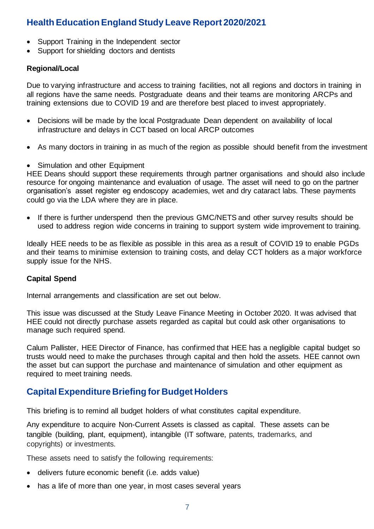- Support Training in the Independent sector
- Support for shielding doctors and dentists

#### **Regional/Local**

Due to varying infrastructure and access to training facilities, not all regions and doctors in training in all regions have the same needs. Postgraduate deans and their teams are monitoring ARCPs and training extensions due to COVID 19 and are therefore best placed to invest appropriately.

- Decisions will be made by the local Postgraduate Dean dependent on availability of local infrastructure and delays in CCT based on local ARCP outcomes
- As many doctors in training in as much of the region as possible should benefit from the investment
- Simulation and other Equipment

HEE Deans should support these requirements through partner organisations and should also include resource for ongoing maintenance and evaluation of usage. The asset will need to go on the partner organisation's asset register eg endoscopy academies, wet and dry cataract labs. These payments could go via the LDA where they are in place.

If there is further underspend then the previous GMC/NETS and other survey results should be used to address region wide concerns in training to support system wide improvement to training.

Ideally HEE needs to be as flexible as possible in this area as a result of COVID 19 to enable PGDs and their teams to minimise extension to training costs, and delay CCT holders as a major workforce supply issue for the NHS.

#### **Capital Spend**

Internal arrangements and classification are set out below.

This issue was discussed at the Study Leave Finance Meeting in October 2020. It was advised that HEE could not directly purchase assets regarded as capital but could ask other organisations to manage such required spend.

Calum Pallister, HEE Director of Finance, has confirmed that HEE has a negligible capital budget so trusts would need to make the purchases through capital and then hold the assets. HEE cannot own the asset but can support the purchase and maintenance of simulation and other equipment as required to meet training needs.

### **Capital Expenditure Briefing for Budget Holders**

This briefing is to remind all budget holders of what constitutes capital expenditure.

Any expenditure to acquire Non-Current Assets is classed as capital. These assets can be tangible (building, plant, equipment), intangible (IT software, patents, trademarks, and copyrights) or investments.

These assets need to satisfy the following requirements:

- delivers future economic benefit (i.e. adds value)
- has a life of more than one year, in most cases several years